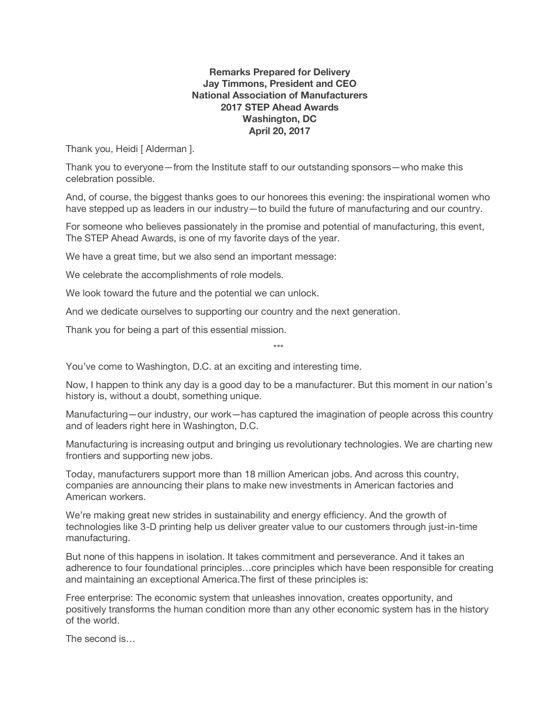## **Remarks Prepared for Delivery Jay Timmons, President and CEO National Association of Manufacturers 2017 STEP Ahead Awards Washington, DC April 20, 2017**

Thank you, Heidi [ Alderman ].

Thank you to everyone—from the Institute staff to our outstanding sponsors—who make this celebration possible.

And, of course, the biggest thanks goes to our honorees this evening: the inspirational women who have stepped up as leaders in our industry—to build the future of manufacturing and our country.

For someone who believes passionately in the promise and potential of manufacturing, this event, The STEP Ahead Awards, is one of my favorite days of the year.

We have a great time, but we also send an important message:

We celebrate the accomplishments of role models.

We look toward the future and the potential we can unlock.

And we dedicate ourselves to supporting our country and the next generation.

Thank you for being a part of this essential mission.

\*\*\*

You've come to Washington, D.C. at an exciting and interesting time.

Now, I happen to think any day is a good day to be a manufacturer. But this moment in our nation's history is, without a doubt, something unique.

Manufacturing—our industry, our work—has captured the imagination of people across this country and of leaders right here in Washington, D.C.

Manufacturing is increasing output and bringing us revolutionary technologies. We are charting new frontiers and supporting new jobs.

Today, manufacturers support more than 18 million American jobs. And across this country, companies are announcing their plans to make new investments in American factories and American workers.

We're making great new strides in sustainability and energy efficiency. And the growth of technologies like 3-D printing help us deliver greater value to our customers through just-in-time manufacturing.

But none of this happens in isolation. It takes commitment and perseverance. And it takes an adherence to four foundational principles…core principles which have been responsible for creating and maintaining an exceptional America.The first of these principles is:

Free enterprise: The economic system that unleashes innovation, creates opportunity, and positively transforms the human condition more than any other economic system has in the history of the world.

The second is…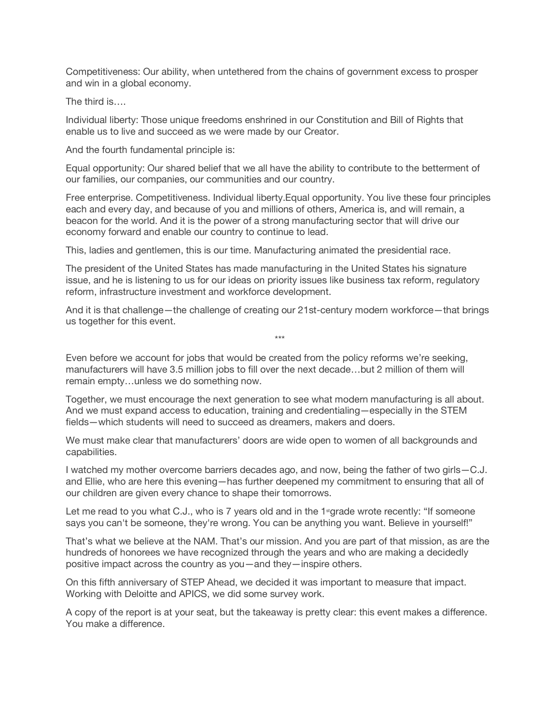Competitiveness: Our ability, when untethered from the chains of government excess to prosper and win in a global economy.

The third is….

Individual liberty: Those unique freedoms enshrined in our Constitution and Bill of Rights that enable us to live and succeed as we were made by our Creator.

And the fourth fundamental principle is:

Equal opportunity: Our shared belief that we all have the ability to contribute to the betterment of our families, our companies, our communities and our country.

Free enterprise. Competitiveness. Individual liberty.Equal opportunity. You live these four principles each and every day, and because of you and millions of others, America is, and will remain, a beacon for the world. And it is the power of a strong manufacturing sector that will drive our economy forward and enable our country to continue to lead.

This, ladies and gentlemen, this is our time. Manufacturing animated the presidential race.

The president of the United States has made manufacturing in the United States his signature issue, and he is listening to us for our ideas on priority issues like business tax reform, regulatory reform, infrastructure investment and workforce development.

And it is that challenge—the challenge of creating our 21st-century modern workforce—that brings us together for this event.

\*\*\*

Even before we account for jobs that would be created from the policy reforms we're seeking, manufacturers will have 3.5 million jobs to fill over the next decade…but 2 million of them will remain empty…unless we do something now.

Together, we must encourage the next generation to see what modern manufacturing is all about. And we must expand access to education, training and credentialing—especially in the STEM fields—which students will need to succeed as dreamers, makers and doers.

We must make clear that manufacturers' doors are wide open to women of all backgrounds and capabilities.

I watched my mother overcome barriers decades ago, and now, being the father of two girls—C.J. and Ellie, who are here this evening—has further deepened my commitment to ensuring that all of our children are given every chance to shape their tomorrows.

Let me read to you what C.J., who is 7 years old and in the 1 sgrade wrote recently: "If someone says you can't be someone, they're wrong. You can be anything you want. Believe in yourself!"

That's what we believe at the NAM. That's our mission. And you are part of that mission, as are the hundreds of honorees we have recognized through the years and who are making a decidedly positive impact across the country as you—and they—inspire others.

On this fifth anniversary of STEP Ahead, we decided it was important to measure that impact. Working with Deloitte and APICS, we did some survey work.

A copy of the report is at your seat, but the takeaway is pretty clear: this event makes a difference. You make a difference.